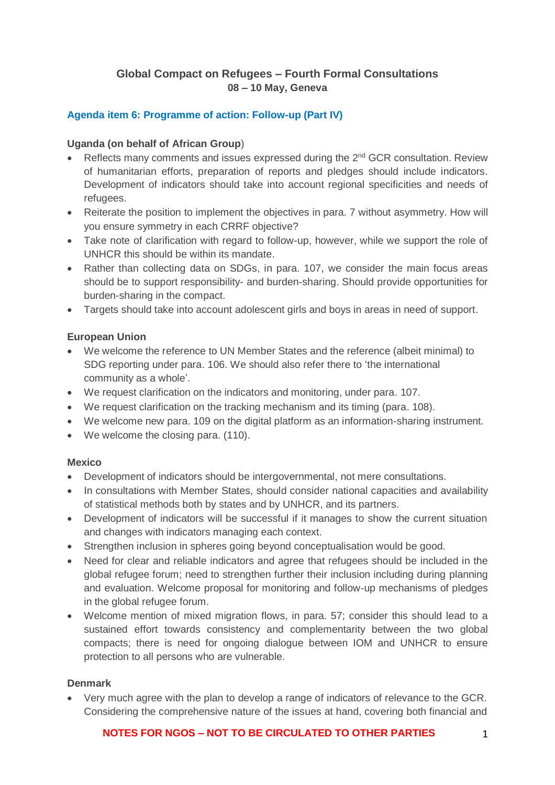# **Global Compact on Refugees – Fourth Formal Consultations 08 – 10 May, Geneva**

# **Agenda item 6: Programme of action: Follow-up (Part IV)**

#### **Uganda (on behalf of African Group**)

- Reflects many comments and issues expressed during the  $2^{nd}$  GCR consultation. Review of humanitarian efforts, preparation of reports and pledges should include indicators. Development of indicators should take into account regional specificities and needs of refugees.
- Reiterate the position to implement the objectives in para. 7 without asymmetry. How will you ensure symmetry in each CRRF objective?
- Take note of clarification with regard to follow-up, however, while we support the role of UNHCR this should be within its mandate.
- Rather than collecting data on SDGs, in para. 107, we consider the main focus areas should be to support responsibility- and burden-sharing. Should provide opportunities for burden-sharing in the compact.
- Targets should take into account adolescent girls and boys in areas in need of support.

#### **European Union**

- We welcome the reference to UN Member States and the reference (albeit minimal) to SDG reporting under para. 106. We should also refer there to 'the international community as a whole'.
- We request clarification on the indicators and monitoring, under para. 107.
- We request clarification on the tracking mechanism and its timing (para. 108).
- We welcome new para. 109 on the digital platform as an information-sharing instrument.
- We welcome the closing para. (110).

#### **Mexico**

- Development of indicators should be intergovernmental, not mere consultations.
- In consultations with Member States, should consider national capacities and availability of statistical methods both by states and by UNHCR, and its partners.
- Development of indicators will be successful if it manages to show the current situation and changes with indicators managing each context.
- Strengthen inclusion in spheres going beyond conceptualisation would be good.
- Need for clear and reliable indicators and agree that refugees should be included in the global refugee forum; need to strengthen further their inclusion including during planning and evaluation. Welcome proposal for monitoring and follow-up mechanisms of pledges in the global refugee forum.
- Welcome mention of mixed migration flows, in para. 57; consider this should lead to a sustained effort towards consistency and complementarity between the two global compacts; there is need for ongoing dialogue between IOM and UNHCR to ensure protection to all persons who are vulnerable.

#### **Denmark**

• Very much agree with the plan to develop a range of indicators of relevance to the GCR. Considering the comprehensive nature of the issues at hand, covering both financial and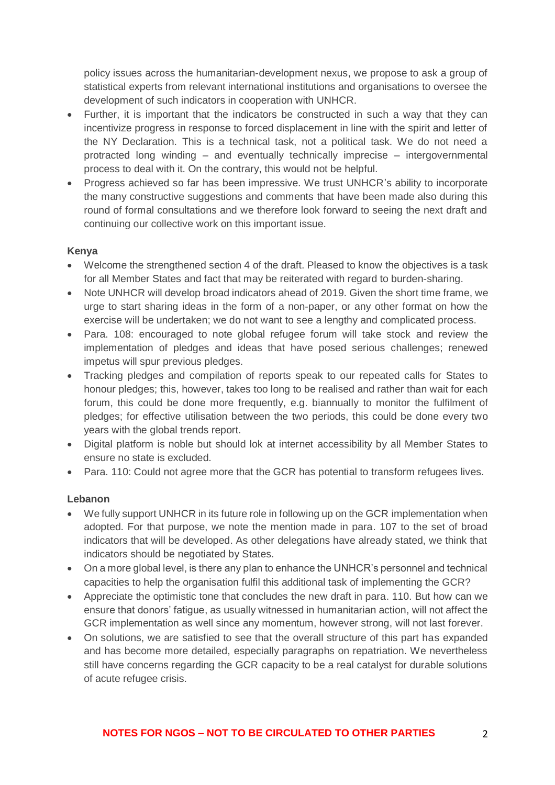policy issues across the humanitarian-development nexus, we propose to ask a group of statistical experts from relevant international institutions and organisations to oversee the development of such indicators in cooperation with UNHCR.

- Further, it is important that the indicators be constructed in such a way that they can incentivize progress in response to forced displacement in line with the spirit and letter of the NY Declaration. This is a technical task, not a political task. We do not need a protracted long winding – and eventually technically imprecise – intergovernmental process to deal with it. On the contrary, this would not be helpful.
- Progress achieved so far has been impressive. We trust UNHCR's ability to incorporate the many constructive suggestions and comments that have been made also during this round of formal consultations and we therefore look forward to seeing the next draft and continuing our collective work on this important issue.

### **Kenya**

- Welcome the strengthened section 4 of the draft. Pleased to know the objectives is a task for all Member States and fact that may be reiterated with regard to burden-sharing.
- Note UNHCR will develop broad indicators ahead of 2019. Given the short time frame, we urge to start sharing ideas in the form of a non-paper, or any other format on how the exercise will be undertaken; we do not want to see a lengthy and complicated process.
- Para. 108: encouraged to note global refugee forum will take stock and review the implementation of pledges and ideas that have posed serious challenges; renewed impetus will spur previous pledges.
- Tracking pledges and compilation of reports speak to our repeated calls for States to honour pledges; this, however, takes too long to be realised and rather than wait for each forum, this could be done more frequently, e.g. biannually to monitor the fulfilment of pledges; for effective utilisation between the two periods, this could be done every two years with the global trends report.
- Digital platform is noble but should lok at internet accessibility by all Member States to ensure no state is excluded.
- Para. 110: Could not agree more that the GCR has potential to transform refugees lives.

#### **Lebanon**

- We fully support UNHCR in its future role in following up on the GCR implementation when adopted. For that purpose, we note the mention made in para. 107 to the set of broad indicators that will be developed. As other delegations have already stated, we think that indicators should be negotiated by States.
- On a more global level, is there any plan to enhance the UNHCR's personnel and technical capacities to help the organisation fulfil this additional task of implementing the GCR?
- Appreciate the optimistic tone that concludes the new draft in para. 110. But how can we ensure that donors' fatigue, as usually witnessed in humanitarian action, will not affect the GCR implementation as well since any momentum, however strong, will not last forever.
- On solutions, we are satisfied to see that the overall structure of this part has expanded and has become more detailed, especially paragraphs on repatriation. We nevertheless still have concerns regarding the GCR capacity to be a real catalyst for durable solutions of acute refugee crisis.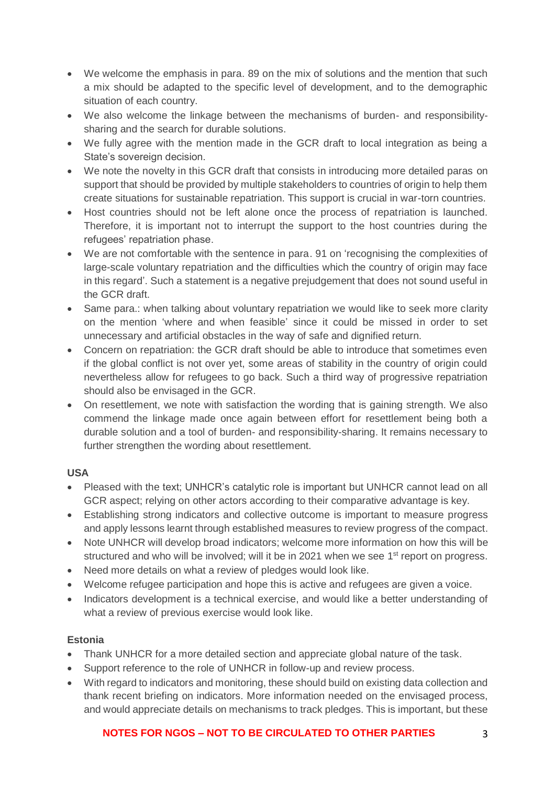- We welcome the emphasis in para. 89 on the mix of solutions and the mention that such a mix should be adapted to the specific level of development, and to the demographic situation of each country.
- We also welcome the linkage between the mechanisms of burden- and responsibilitysharing and the search for durable solutions.
- We fully agree with the mention made in the GCR draft to local integration as being a State's sovereign decision.
- We note the novelty in this GCR draft that consists in introducing more detailed paras on support that should be provided by multiple stakeholders to countries of origin to help them create situations for sustainable repatriation. This support is crucial in war-torn countries.
- Host countries should not be left alone once the process of repatriation is launched. Therefore, it is important not to interrupt the support to the host countries during the refugees' repatriation phase.
- We are not comfortable with the sentence in para. 91 on 'recognising the complexities of large-scale voluntary repatriation and the difficulties which the country of origin may face in this regard'. Such a statement is a negative prejudgement that does not sound useful in the GCR draft.
- Same para.: when talking about voluntary repatriation we would like to seek more clarity on the mention 'where and when feasible' since it could be missed in order to set unnecessary and artificial obstacles in the way of safe and dignified return.
- Concern on repatriation: the GCR draft should be able to introduce that sometimes even if the global conflict is not over yet, some areas of stability in the country of origin could nevertheless allow for refugees to go back. Such a third way of progressive repatriation should also be envisaged in the GCR.
- On resettlement, we note with satisfaction the wording that is gaining strength. We also commend the linkage made once again between effort for resettlement being both a durable solution and a tool of burden- and responsibility-sharing. It remains necessary to further strengthen the wording about resettlement.

# **USA**

- Pleased with the text; UNHCR's catalytic role is important but UNHCR cannot lead on all GCR aspect; relying on other actors according to their comparative advantage is key.
- Establishing strong indicators and collective outcome is important to measure progress and apply lessons learnt through established measures to review progress of the compact.
- Note UNHCR will develop broad indicators; welcome more information on how this will be structured and who will be involved; will it be in 2021 when we see 1<sup>st</sup> report on progress.
- Need more details on what a review of pledges would look like.
- Welcome refugee participation and hope this is active and refugees are given a voice.
- Indicators development is a technical exercise, and would like a better understanding of what a review of previous exercise would look like.

# **Estonia**

- Thank UNHCR for a more detailed section and appreciate global nature of the task.
- Support reference to the role of UNHCR in follow-up and review process.
- With regard to indicators and monitoring, these should build on existing data collection and thank recent briefing on indicators. More information needed on the envisaged process, and would appreciate details on mechanisms to track pledges. This is important, but these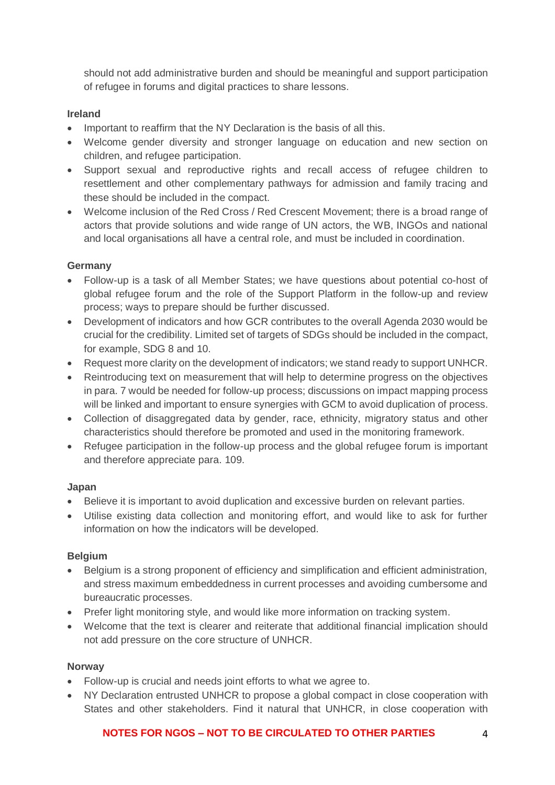should not add administrative burden and should be meaningful and support participation of refugee in forums and digital practices to share lessons.

### **Ireland**

- Important to reaffirm that the NY Declaration is the basis of all this.
- Welcome gender diversity and stronger language on education and new section on children, and refugee participation.
- Support sexual and reproductive rights and recall access of refugee children to resettlement and other complementary pathways for admission and family tracing and these should be included in the compact.
- Welcome inclusion of the Red Cross / Red Crescent Movement: there is a broad range of actors that provide solutions and wide range of UN actors, the WB, INGOs and national and local organisations all have a central role, and must be included in coordination.

# **Germany**

- Follow-up is a task of all Member States; we have questions about potential co-host of global refugee forum and the role of the Support Platform in the follow-up and review process; ways to prepare should be further discussed.
- Development of indicators and how GCR contributes to the overall Agenda 2030 would be crucial for the credibility. Limited set of targets of SDGs should be included in the compact, for example, SDG 8 and 10.
- Request more clarity on the development of indicators; we stand ready to support UNHCR.
- Reintroducing text on measurement that will help to determine progress on the objectives in para. 7 would be needed for follow-up process; discussions on impact mapping process will be linked and important to ensure synergies with GCM to avoid duplication of process.
- Collection of disaggregated data by gender, race, ethnicity, migratory status and other characteristics should therefore be promoted and used in the monitoring framework.
- Refugee participation in the follow-up process and the global refugee forum is important and therefore appreciate para. 109.

#### **Japan**

- Believe it is important to avoid duplication and excessive burden on relevant parties.
- Utilise existing data collection and monitoring effort, and would like to ask for further information on how the indicators will be developed.

#### **Belgium**

- Belgium is a strong proponent of efficiency and simplification and efficient administration, and stress maximum embeddedness in current processes and avoiding cumbersome and bureaucratic processes.
- Prefer light monitoring style, and would like more information on tracking system.
- Welcome that the text is clearer and reiterate that additional financial implication should not add pressure on the core structure of UNHCR.

#### **Norway**

- Follow-up is crucial and needs joint efforts to what we agree to.
- NY Declaration entrusted UNHCR to propose a global compact in close cooperation with States and other stakeholders. Find it natural that UNHCR, in close cooperation with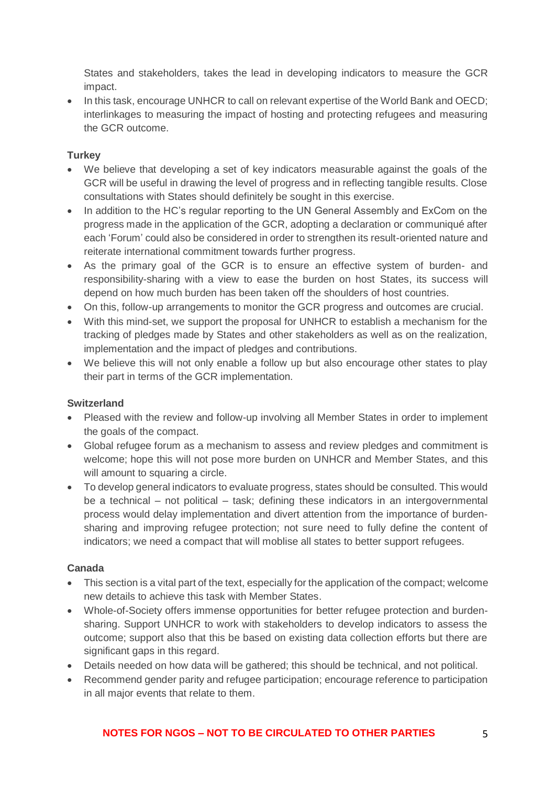States and stakeholders, takes the lead in developing indicators to measure the GCR impact.

• In this task, encourage UNHCR to call on relevant expertise of the World Bank and OECD; interlinkages to measuring the impact of hosting and protecting refugees and measuring the GCR outcome.

# **Turkey**

- We believe that developing a set of key indicators measurable against the goals of the GCR will be useful in drawing the level of progress and in reflecting tangible results. Close consultations with States should definitely be sought in this exercise.
- In addition to the HC's regular reporting to the UN General Assembly and ExCom on the progress made in the application of the GCR, adopting a declaration or communiqué after each 'Forum' could also be considered in order to strengthen its result-oriented nature and reiterate international commitment towards further progress.
- As the primary goal of the GCR is to ensure an effective system of burden- and responsibility-sharing with a view to ease the burden on host States, its success will depend on how much burden has been taken off the shoulders of host countries.
- On this, follow-up arrangements to monitor the GCR progress and outcomes are crucial.
- With this mind-set, we support the proposal for UNHCR to establish a mechanism for the tracking of pledges made by States and other stakeholders as well as on the realization, implementation and the impact of pledges and contributions.
- We believe this will not only enable a follow up but also encourage other states to play their part in terms of the GCR implementation.

# **Switzerland**

- Pleased with the review and follow-up involving all Member States in order to implement the goals of the compact.
- Global refugee forum as a mechanism to assess and review pledges and commitment is welcome; hope this will not pose more burden on UNHCR and Member States, and this will amount to squaring a circle.
- To develop general indicators to evaluate progress, states should be consulted. This would be a technical – not political – task; defining these indicators in an intergovernmental process would delay implementation and divert attention from the importance of burdensharing and improving refugee protection; not sure need to fully define the content of indicators; we need a compact that will moblise all states to better support refugees.

# **Canada**

- This section is a vital part of the text, especially for the application of the compact; welcome new details to achieve this task with Member States.
- Whole-of-Society offers immense opportunities for better refugee protection and burdensharing. Support UNHCR to work with stakeholders to develop indicators to assess the outcome; support also that this be based on existing data collection efforts but there are significant gaps in this regard.
- Details needed on how data will be gathered; this should be technical, and not political.
- Recommend gender parity and refugee participation; encourage reference to participation in all major events that relate to them.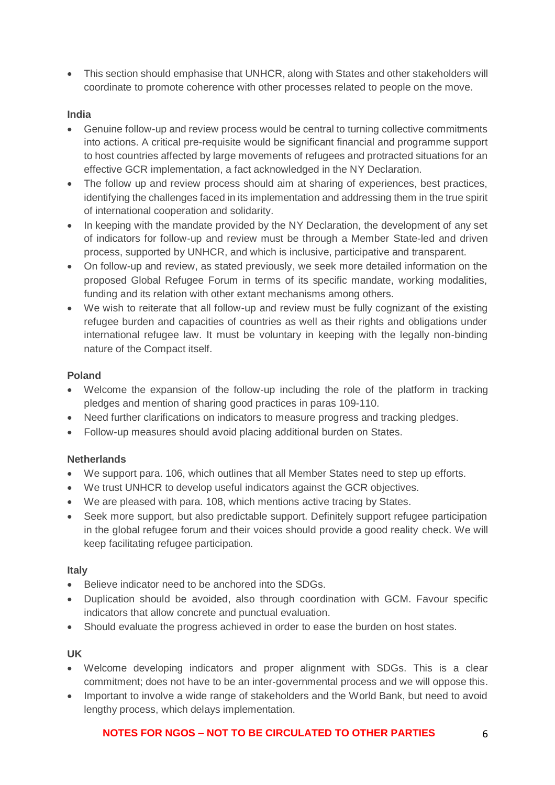• This section should emphasise that UNHCR, along with States and other stakeholders will coordinate to promote coherence with other processes related to people on the move.

### **India**

- Genuine follow-up and review process would be central to turning collective commitments into actions. A critical pre-requisite would be significant financial and programme support to host countries affected by large movements of refugees and protracted situations for an effective GCR implementation, a fact acknowledged in the NY Declaration.
- The follow up and review process should aim at sharing of experiences, best practices, identifying the challenges faced in its implementation and addressing them in the true spirit of international cooperation and solidarity.
- In keeping with the mandate provided by the NY Declaration, the development of any set of indicators for follow-up and review must be through a Member State-led and driven process, supported by UNHCR, and which is inclusive, participative and transparent.
- On follow-up and review, as stated previously, we seek more detailed information on the proposed Global Refugee Forum in terms of its specific mandate, working modalities, funding and its relation with other extant mechanisms among others.
- We wish to reiterate that all follow-up and review must be fully cognizant of the existing refugee burden and capacities of countries as well as their rights and obligations under international refugee law. It must be voluntary in keeping with the legally non-binding nature of the Compact itself.

### **Poland**

- Welcome the expansion of the follow-up including the role of the platform in tracking pledges and mention of sharing good practices in paras 109-110.
- Need further clarifications on indicators to measure progress and tracking pledges.
- Follow-up measures should avoid placing additional burden on States.

#### **Netherlands**

- We support para. 106, which outlines that all Member States need to step up efforts.
- We trust UNHCR to develop useful indicators against the GCR objectives.
- We are pleased with para. 108, which mentions active tracing by States.
- Seek more support, but also predictable support. Definitely support refugee participation in the global refugee forum and their voices should provide a good reality check. We will keep facilitating refugee participation.

#### **Italy**

- Believe indicator need to be anchored into the SDGs.
- Duplication should be avoided, also through coordination with GCM. Favour specific indicators that allow concrete and punctual evaluation.
- Should evaluate the progress achieved in order to ease the burden on host states.

#### **UK**

- Welcome developing indicators and proper alignment with SDGs. This is a clear commitment; does not have to be an inter-governmental process and we will oppose this.
- Important to involve a wide range of stakeholders and the World Bank, but need to avoid lengthy process, which delays implementation.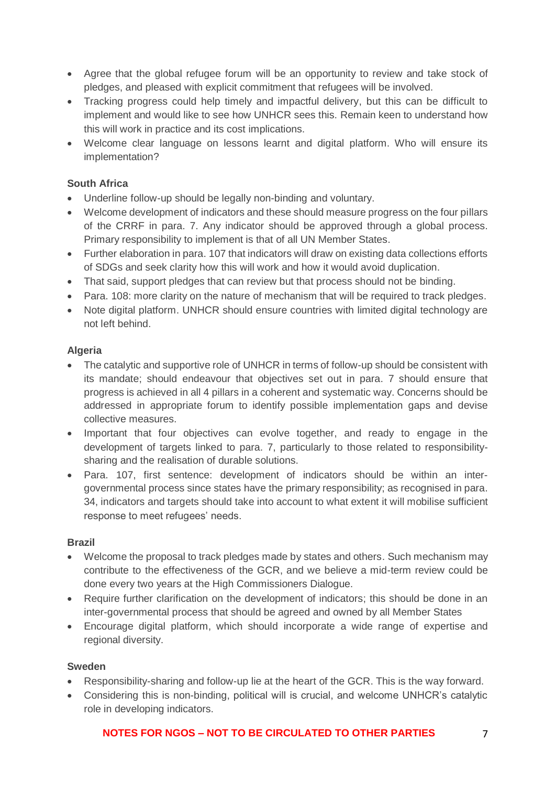- Agree that the global refugee forum will be an opportunity to review and take stock of pledges, and pleased with explicit commitment that refugees will be involved.
- Tracking progress could help timely and impactful delivery, but this can be difficult to implement and would like to see how UNHCR sees this. Remain keen to understand how this will work in practice and its cost implications.
- Welcome clear language on lessons learnt and digital platform. Who will ensure its implementation?

# **South Africa**

- Underline follow-up should be legally non-binding and voluntary.
- Welcome development of indicators and these should measure progress on the four pillars of the CRRF in para. 7. Any indicator should be approved through a global process. Primary responsibility to implement is that of all UN Member States.
- Further elaboration in para. 107 that indicators will draw on existing data collections efforts of SDGs and seek clarity how this will work and how it would avoid duplication.
- That said, support pledges that can review but that process should not be binding.
- Para, 108: more clarity on the nature of mechanism that will be required to track pledges.
- Note digital platform. UNHCR should ensure countries with limited digital technology are not left behind.

# **Algeria**

- The catalytic and supportive role of UNHCR in terms of follow-up should be consistent with its mandate; should endeavour that objectives set out in para. 7 should ensure that progress is achieved in all 4 pillars in a coherent and systematic way. Concerns should be addressed in appropriate forum to identify possible implementation gaps and devise collective measures.
- Important that four objectives can evolve together, and ready to engage in the development of targets linked to para. 7, particularly to those related to responsibilitysharing and the realisation of durable solutions.
- Para. 107, first sentence: development of indicators should be within an intergovernmental process since states have the primary responsibility; as recognised in para. 34, indicators and targets should take into account to what extent it will mobilise sufficient response to meet refugees' needs.

# **Brazil**

- Welcome the proposal to track pledges made by states and others. Such mechanism may contribute to the effectiveness of the GCR, and we believe a mid-term review could be done every two years at the High Commissioners Dialogue.
- Require further clarification on the development of indicators; this should be done in an inter-governmental process that should be agreed and owned by all Member States
- Encourage digital platform, which should incorporate a wide range of expertise and regional diversity.

# **Sweden**

- Responsibility-sharing and follow-up lie at the heart of the GCR. This is the way forward.
- Considering this is non-binding, political will is crucial, and welcome UNHCR's catalytic role in developing indicators.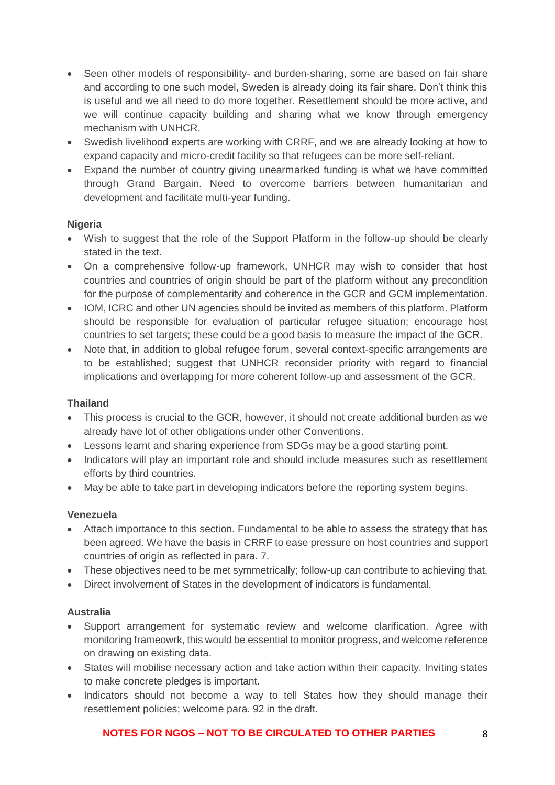- Seen other models of responsibility- and burden-sharing, some are based on fair share and according to one such model, Sweden is already doing its fair share. Don't think this is useful and we all need to do more together. Resettlement should be more active, and we will continue capacity building and sharing what we know through emergency mechanism with UNHCR.
- Swedish livelihood experts are working with CRRF, and we are already looking at how to expand capacity and micro-credit facility so that refugees can be more self-reliant.
- Expand the number of country giving unearmarked funding is what we have committed through Grand Bargain. Need to overcome barriers between humanitarian and development and facilitate multi-year funding.

# **Nigeria**

- Wish to suggest that the role of the Support Platform in the follow-up should be clearly stated in the text.
- On a comprehensive follow-up framework, UNHCR may wish to consider that host countries and countries of origin should be part of the platform without any precondition for the purpose of complementarity and coherence in the GCR and GCM implementation.
- IOM, ICRC and other UN agencies should be invited as members of this platform. Platform should be responsible for evaluation of particular refugee situation; encourage host countries to set targets; these could be a good basis to measure the impact of the GCR.
- Note that, in addition to global refugee forum, several context-specific arrangements are to be established; suggest that UNHCR reconsider priority with regard to financial implications and overlapping for more coherent follow-up and assessment of the GCR.

# **Thailand**

- This process is crucial to the GCR, however, it should not create additional burden as we already have lot of other obligations under other Conventions.
- Lessons learnt and sharing experience from SDGs may be a good starting point.
- Indicators will play an important role and should include measures such as resettlement efforts by third countries.
- May be able to take part in developing indicators before the reporting system begins.

# **Venezuela**

- Attach importance to this section. Fundamental to be able to assess the strategy that has been agreed. We have the basis in CRRF to ease pressure on host countries and support countries of origin as reflected in para. 7.
- These objectives need to be met symmetrically; follow-up can contribute to achieving that.
- Direct involvement of States in the development of indicators is fundamental.

# **Australia**

- Support arrangement for systematic review and welcome clarification. Agree with monitoring frameowrk, this would be essential to monitor progress, and welcome reference on drawing on existing data.
- States will mobilise necessary action and take action within their capacity. Inviting states to make concrete pledges is important.
- Indicators should not become a way to tell States how they should manage their resettlement policies; welcome para. 92 in the draft.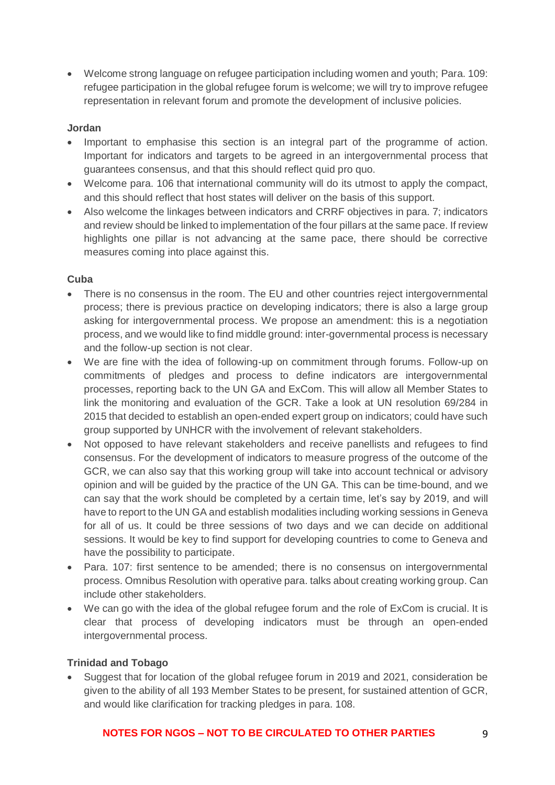• Welcome strong language on refugee participation including women and youth; Para. 109: refugee participation in the global refugee forum is welcome; we will try to improve refugee representation in relevant forum and promote the development of inclusive policies.

#### **Jordan**

- Important to emphasise this section is an integral part of the programme of action. Important for indicators and targets to be agreed in an intergovernmental process that guarantees consensus, and that this should reflect quid pro quo.
- Welcome para. 106 that international community will do its utmost to apply the compact, and this should reflect that host states will deliver on the basis of this support.
- Also welcome the linkages between indicators and CRRF objectives in para. 7; indicators and review should be linked to implementation of the four pillars at the same pace. If review highlights one pillar is not advancing at the same pace, there should be corrective measures coming into place against this.

# **Cuba**

- There is no consensus in the room. The EU and other countries reject intergovernmental process; there is previous practice on developing indicators; there is also a large group asking for intergovernmental process. We propose an amendment: this is a negotiation process, and we would like to find middle ground: inter-governmental process is necessary and the follow-up section is not clear.
- We are fine with the idea of following-up on commitment through forums. Follow-up on commitments of pledges and process to define indicators are intergovernmental processes, reporting back to the UN GA and ExCom. This will allow all Member States to link the monitoring and evaluation of the GCR. Take a look at UN resolution 69/284 in 2015 that decided to establish an open-ended expert group on indicators; could have such group supported by UNHCR with the involvement of relevant stakeholders.
- Not opposed to have relevant stakeholders and receive panellists and refugees to find consensus. For the development of indicators to measure progress of the outcome of the GCR, we can also say that this working group will take into account technical or advisory opinion and will be guided by the practice of the UN GA. This can be time-bound, and we can say that the work should be completed by a certain time, let's say by 2019, and will have to report to the UN GA and establish modalities including working sessions in Geneva for all of us. It could be three sessions of two days and we can decide on additional sessions. It would be key to find support for developing countries to come to Geneva and have the possibility to participate.
- Para. 107: first sentence to be amended; there is no consensus on intergovernmental process. Omnibus Resolution with operative para. talks about creating working group. Can include other stakeholders.
- We can go with the idea of the global refugee forum and the role of ExCom is crucial. It is clear that process of developing indicators must be through an open-ended intergovernmental process.

# **Trinidad and Tobago**

• Suggest that for location of the global refugee forum in 2019 and 2021, consideration be given to the ability of all 193 Member States to be present, for sustained attention of GCR, and would like clarification for tracking pledges in para. 108.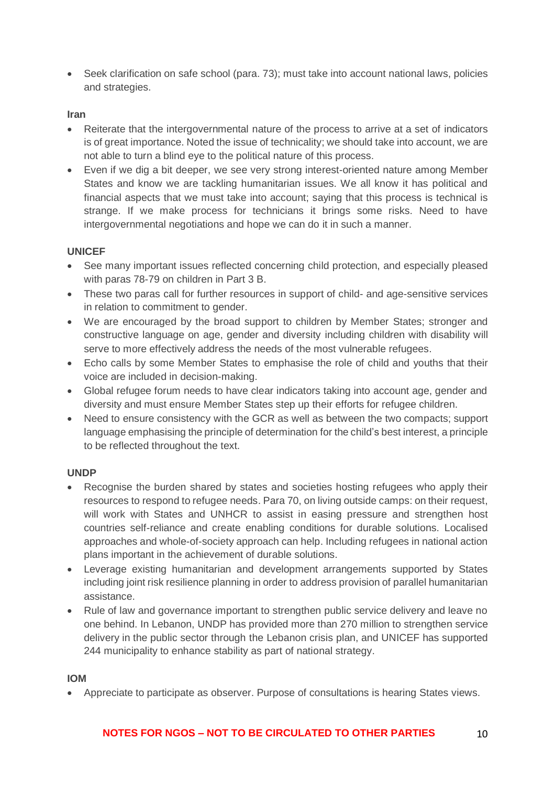• Seek clarification on safe school (para. 73); must take into account national laws, policies and strategies.

### **Iran**

- Reiterate that the intergovernmental nature of the process to arrive at a set of indicators is of great importance. Noted the issue of technicality; we should take into account, we are not able to turn a blind eye to the political nature of this process.
- Even if we dig a bit deeper, we see very strong interest-oriented nature among Member States and know we are tackling humanitarian issues. We all know it has political and financial aspects that we must take into account; saying that this process is technical is strange. If we make process for technicians it brings some risks. Need to have intergovernmental negotiations and hope we can do it in such a manner.

### **UNICEF**

- See many important issues reflected concerning child protection, and especially pleased with paras 78-79 on children in Part 3 B.
- These two paras call for further resources in support of child- and age-sensitive services in relation to commitment to gender.
- We are encouraged by the broad support to children by Member States; stronger and constructive language on age, gender and diversity including children with disability will serve to more effectively address the needs of the most vulnerable refugees.
- Echo calls by some Member States to emphasise the role of child and youths that their voice are included in decision-making.
- Global refugee forum needs to have clear indicators taking into account age, gender and diversity and must ensure Member States step up their efforts for refugee children.
- Need to ensure consistency with the GCR as well as between the two compacts; support language emphasising the principle of determination for the child's best interest, a principle to be reflected throughout the text.

#### **UNDP**

- Recognise the burden shared by states and societies hosting refugees who apply their resources to respond to refugee needs. Para 70, on living outside camps: on their request, will work with States and UNHCR to assist in easing pressure and strengthen host countries self-reliance and create enabling conditions for durable solutions. Localised approaches and whole-of-society approach can help. Including refugees in national action plans important in the achievement of durable solutions.
- Leverage existing humanitarian and development arrangements supported by States including joint risk resilience planning in order to address provision of parallel humanitarian assistance.
- Rule of law and governance important to strengthen public service delivery and leave no one behind. In Lebanon, UNDP has provided more than 270 million to strengthen service delivery in the public sector through the Lebanon crisis plan, and UNICEF has supported 244 municipality to enhance stability as part of national strategy.

#### **IOM**

• Appreciate to participate as observer. Purpose of consultations is hearing States views.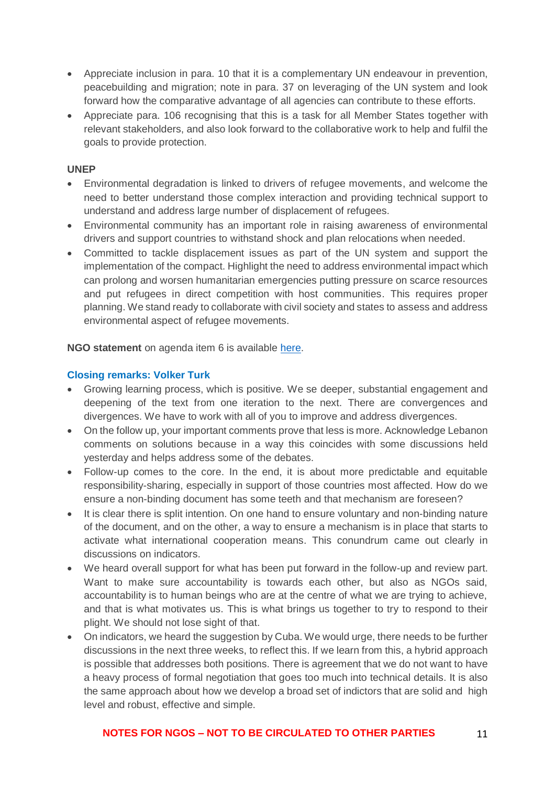- Appreciate inclusion in para. 10 that it is a complementary UN endeavour in prevention, peacebuilding and migration; note in para. 37 on leveraging of the UN system and look forward how the comparative advantage of all agencies can contribute to these efforts.
- Appreciate para. 106 recognising that this is a task for all Member States together with relevant stakeholders, and also look forward to the collaborative work to help and fulfil the goals to provide protection.

#### **UNEP**

- Environmental degradation is linked to drivers of refugee movements, and welcome the need to better understand those complex interaction and providing technical support to understand and address large number of displacement of refugees.
- Environmental community has an important role in raising awareness of environmental drivers and support countries to withstand shock and plan relocations when needed.
- Committed to tackle displacement issues as part of the UN system and support the implementation of the compact. Highlight the need to address environmental impact which can prolong and worsen humanitarian emergencies putting pressure on scarce resources and put refugees in direct competition with host communities. This requires proper planning. We stand ready to collaborate with civil society and states to assess and address environmental aspect of refugee movements.

**NGO statement** on agenda item 6 is available [here.](https://www.icvanetwork.org/system/files/versions/Agenda%20item%206_Fourth%20Formal%20Consultations_ORAL_May2018.pdf)

### **Closing remarks: Volker Turk**

- Growing learning process, which is positive. We se deeper, substantial engagement and deepening of the text from one iteration to the next. There are convergences and divergences. We have to work with all of you to improve and address divergences.
- On the follow up, your important comments prove that less is more. Acknowledge Lebanon comments on solutions because in a way this coincides with some discussions held yesterday and helps address some of the debates.
- Follow-up comes to the core. In the end, it is about more predictable and equitable responsibility-sharing, especially in support of those countries most affected. How do we ensure a non-binding document has some teeth and that mechanism are foreseen?
- It is clear there is split intention. On one hand to ensure voluntary and non-binding nature of the document, and on the other, a way to ensure a mechanism is in place that starts to activate what international cooperation means. This conundrum came out clearly in discussions on indicators.
- We heard overall support for what has been put forward in the follow-up and review part. Want to make sure accountability is towards each other, but also as NGOs said, accountability is to human beings who are at the centre of what we are trying to achieve, and that is what motivates us. This is what brings us together to try to respond to their plight. We should not lose sight of that.
- On indicators, we heard the suggestion by Cuba. We would urge, there needs to be further discussions in the next three weeks, to reflect this. If we learn from this, a hybrid approach is possible that addresses both positions. There is agreement that we do not want to have a heavy process of formal negotiation that goes too much into technical details. It is also the same approach about how we develop a broad set of indictors that are solid and high level and robust, effective and simple.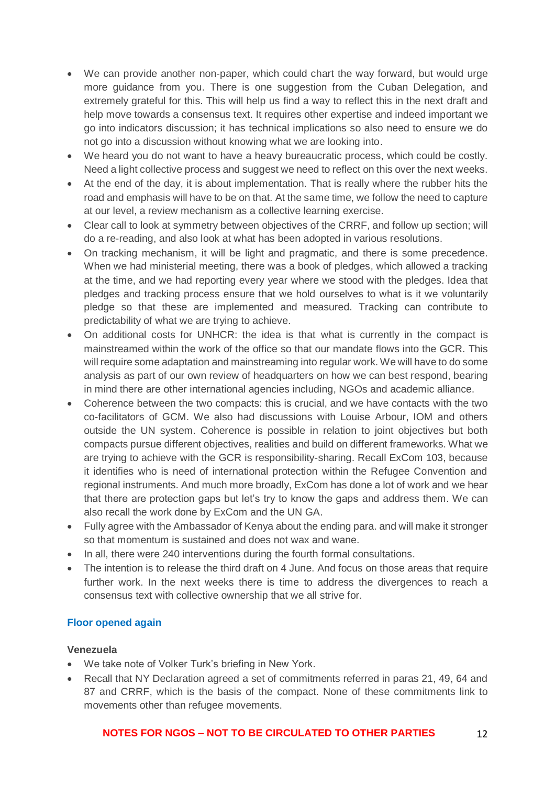- We can provide another non-paper, which could chart the way forward, but would urge more guidance from you. There is one suggestion from the Cuban Delegation, and extremely grateful for this. This will help us find a way to reflect this in the next draft and help move towards a consensus text. It requires other expertise and indeed important we go into indicators discussion; it has technical implications so also need to ensure we do not go into a discussion without knowing what we are looking into.
- We heard you do not want to have a heavy bureaucratic process, which could be costly. Need a light collective process and suggest we need to reflect on this over the next weeks.
- At the end of the day, it is about implementation. That is really where the rubber hits the road and emphasis will have to be on that. At the same time, we follow the need to capture at our level, a review mechanism as a collective learning exercise.
- Clear call to look at symmetry between objectives of the CRRF, and follow up section; will do a re-reading, and also look at what has been adopted in various resolutions.
- On tracking mechanism, it will be light and pragmatic, and there is some precedence. When we had ministerial meeting, there was a book of pledges, which allowed a tracking at the time, and we had reporting every year where we stood with the pledges. Idea that pledges and tracking process ensure that we hold ourselves to what is it we voluntarily pledge so that these are implemented and measured. Tracking can contribute to predictability of what we are trying to achieve.
- On additional costs for UNHCR: the idea is that what is currently in the compact is mainstreamed within the work of the office so that our mandate flows into the GCR. This will require some adaptation and mainstreaming into regular work. We will have to do some analysis as part of our own review of headquarters on how we can best respond, bearing in mind there are other international agencies including, NGOs and academic alliance.
- Coherence between the two compacts: this is crucial, and we have contacts with the two co-facilitators of GCM. We also had discussions with Louise Arbour, IOM and others outside the UN system. Coherence is possible in relation to joint objectives but both compacts pursue different objectives, realities and build on different frameworks. What we are trying to achieve with the GCR is responsibility-sharing. Recall ExCom 103, because it identifies who is need of international protection within the Refugee Convention and regional instruments. And much more broadly, ExCom has done a lot of work and we hear that there are protection gaps but let's try to know the gaps and address them. We can also recall the work done by ExCom and the UN GA.
- Fully agree with the Ambassador of Kenya about the ending para. and will make it stronger so that momentum is sustained and does not wax and wane.
- In all, there were 240 interventions during the fourth formal consultations.
- The intention is to release the third draft on 4 June. And focus on those areas that require further work. In the next weeks there is time to address the divergences to reach a consensus text with collective ownership that we all strive for.

# **Floor opened again**

#### **Venezuela**

- We take note of Volker Turk's briefing in New York.
- Recall that NY Declaration agreed a set of commitments referred in paras 21, 49, 64 and 87 and CRRF, which is the basis of the compact. None of these commitments link to movements other than refugee movements.